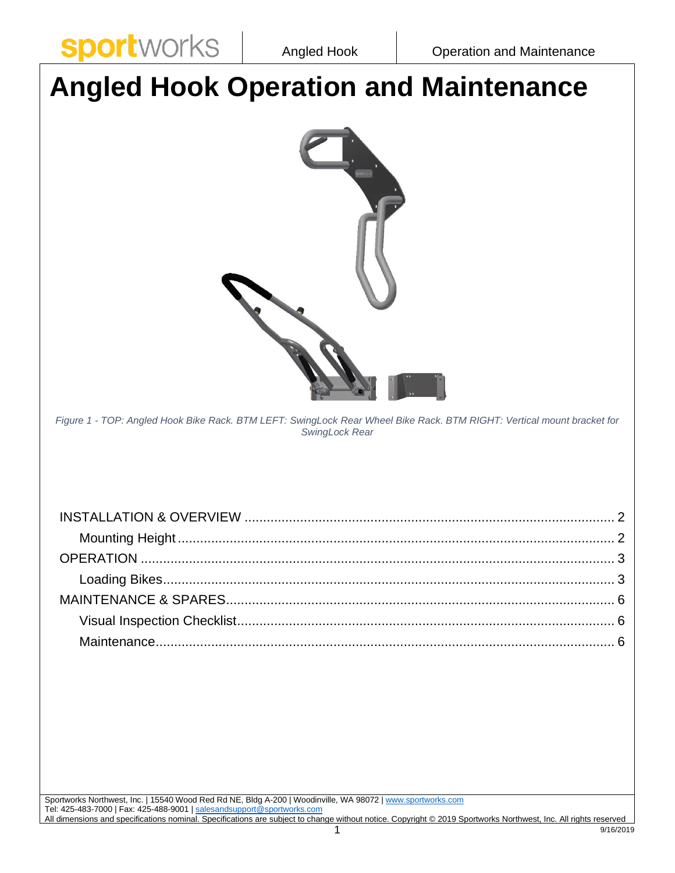**Sport** WOFKS | Angled Hook | Operation and Maintenance



9/16/2019 Sportworks Northwest, Inc. | 15540 Wood Red Rd NE, Bldg A-200 | Woodinville, WA 98072 | [www.sportworks.com](http://www.sportworks.com/) Tel: 425-483-7000 | Fax: 425-488-9001 [| salesandsupport@sportworks.com](mailto:salesandsupport@sportworks.com) All dimensions and specifications nominal. Specifications are subject to change without notice. Copyright © 2019 Sportworks Northwest, Inc. All rights reserved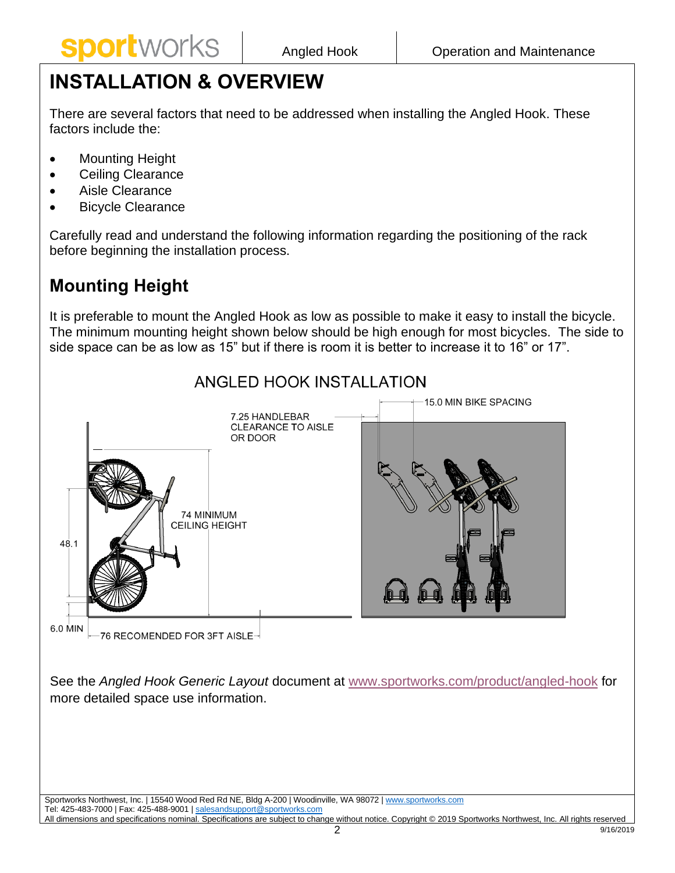# <span id="page-1-0"></span>**INSTALLATION & OVERVIEW**

There are several factors that need to be addressed when installing the Angled Hook. These factors include the:

- Mounting Height
- Ceiling Clearance
- Aisle Clearance
- **Bicycle Clearance**

Carefully read and understand the following information regarding the positioning of the rack before beginning the installation process.

# <span id="page-1-1"></span>**Mounting Height**

It is preferable to mount the Angled Hook as low as possible to make it easy to install the bicycle. The minimum mounting height shown below should be high enough for most bicycles. The side to side space can be as low as 15" but if there is room it is better to increase it to 16" or 17".



Sportworks Northwest, Inc. | 15540 Wood Red Rd NE, Bldg A-200 | Woodinville, WA 98072 | [www.sportworks.com](http://www.sportworks.com/) Tel: 425-483-7000 | Fax: 425-488-9001 [| salesandsupport@sportworks.com](mailto:salesandsupport@sportworks.com) All dimensions and specifications nominal. Specifications are subject to change without notice. Copyright © 2019 Sportworks Northwest, Inc. All rights reserved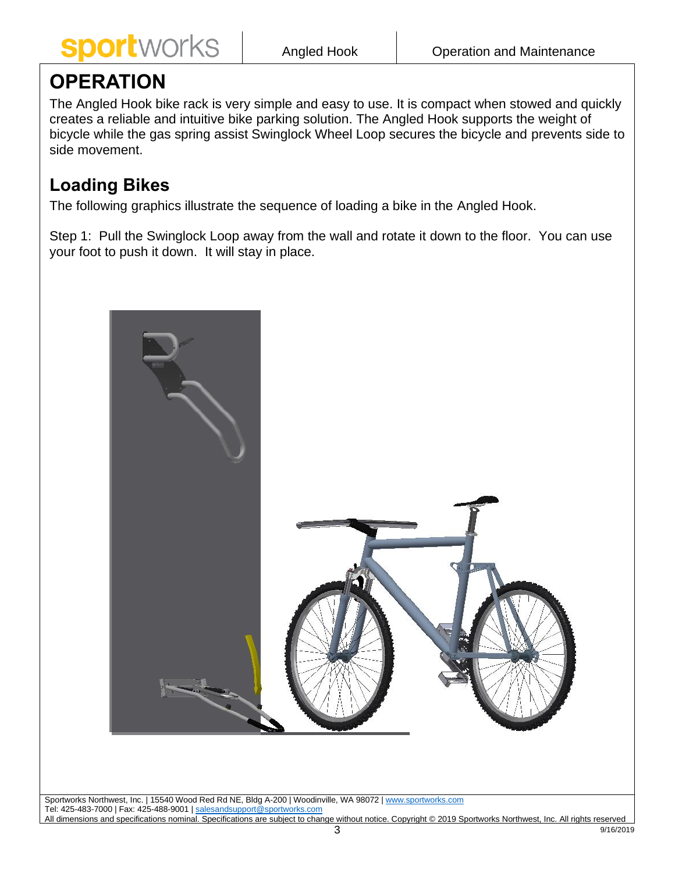

9/16/2019

## <span id="page-2-0"></span>**OPERATION**

The Angled Hook bike rack is very simple and easy to use. It is compact when stowed and quickly creates a reliable and intuitive bike parking solution. The Angled Hook supports the weight of bicycle while the gas spring assist Swinglock Wheel Loop secures the bicycle and prevents side to side movement.

#### <span id="page-2-1"></span>**Loading Bikes**

The following graphics illustrate the sequence of loading a bike in the Angled Hook.

Step 1: Pull the Swinglock Loop away from the wall and rotate it down to the floor. You can use your foot to push it down. It will stay in place.

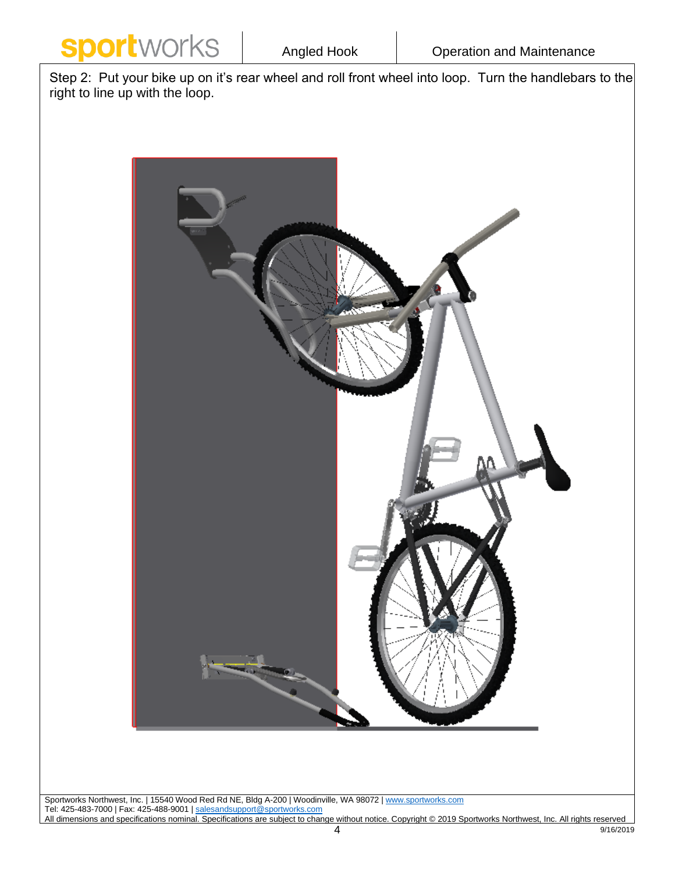

Step 2: Put your bike up on it's rear wheel and roll front wheel into loop. Turn the handlebars to the right to line up with the loop.



Sportworks Northwest, Inc. | 15540 Wood Red Rd NE, Bldg A-200 | Woodinville, WA 98072 | [www.sportworks.com](http://www.sportworks.com/) Tel: 425-483-7000 | Fax: 425-488-9001 | <u>salesandsupport@sportworks.com</u> All dimensions and specifications nominal. Specifications are subject to change without notice. Copyright © 2019 Sportworks Northwest, Inc. All rights reserved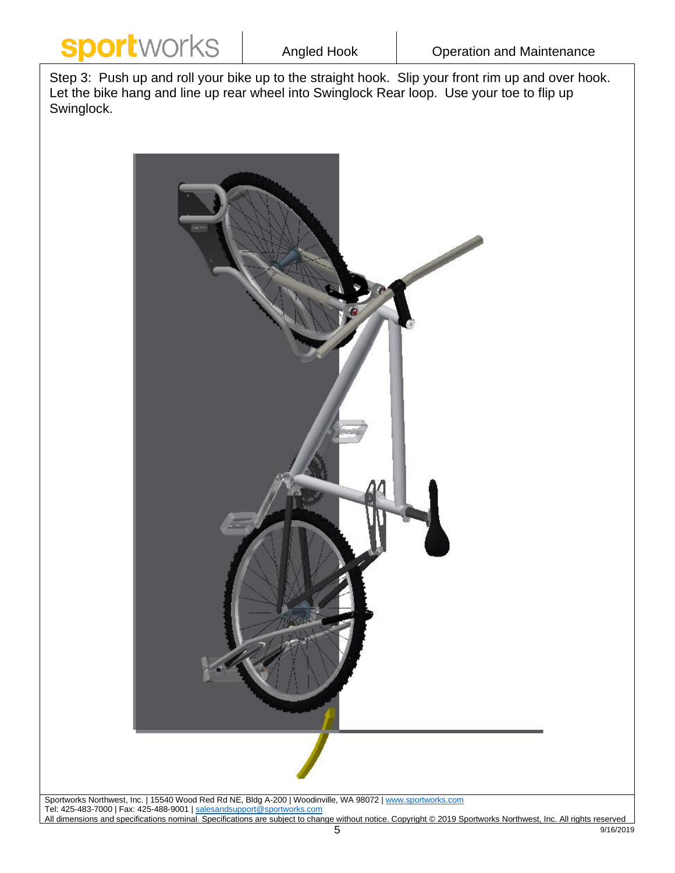

Step 3: Push up and roll your bike up to the straight hook. Slip your front rim up and over hook. Let the bike hang and line up rear wheel into Swinglock Rear loop. Use your toe to flip up Swinglock.